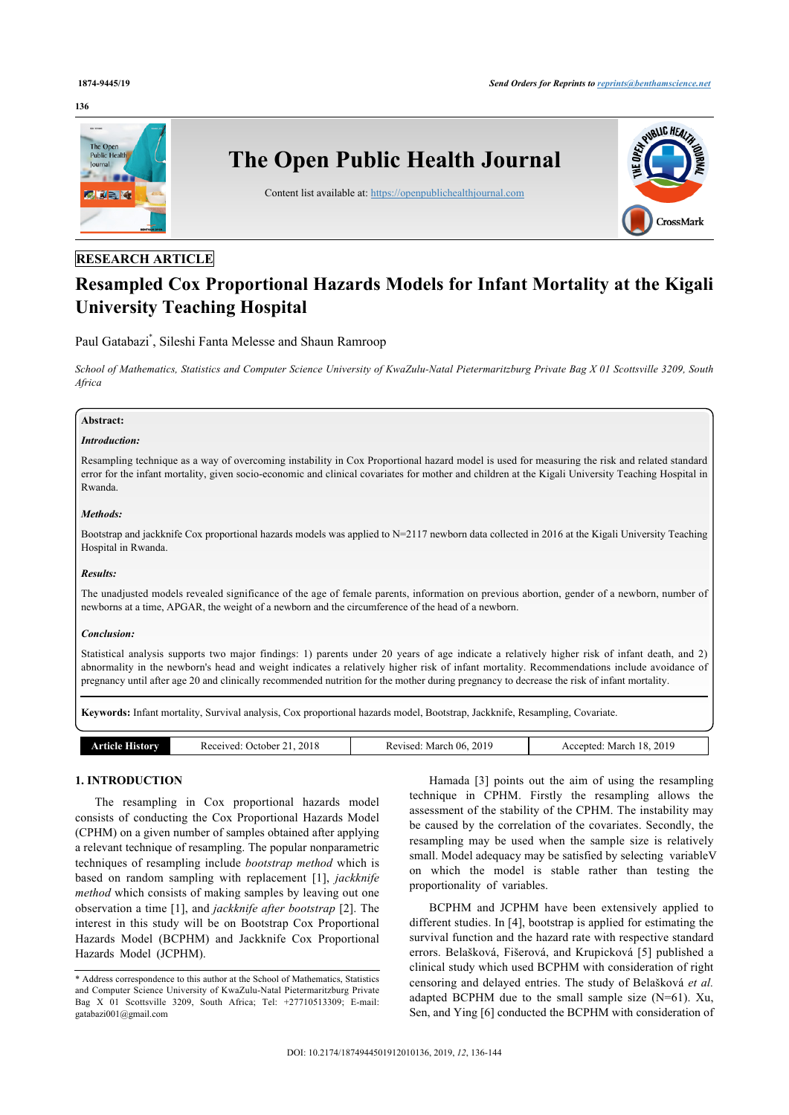### **136**



# **RESEARCH ARTICLE**

# **Resampled Cox Proportional Hazards Models for Infant Mortality at the Kigali University Teaching Hospital**

# Paul Gatabazi[\\*](#page-0-0) , Sileshi Fanta Melesse and Shaun Ramroop

*School of Mathematics, Statistics and Computer Science University of KwaZulu-Natal Pietermaritzburg Private Bag X 01 Scottsville 3209, South Africa*

# **Abstract:**

# *Introduction:*

Resampling technique as a way of overcoming instability in Cox Proportional hazard model is used for measuring the risk and related standard error for the infant mortality, given socio-economic and clinical covariates for mother and children at the Kigali University Teaching Hospital in Rwanda.

# *Methods:*

Bootstrap and jackknife Cox proportional hazards models was applied to N=2117 newborn data collected in 2016 at the Kigali University Teaching Hospital in Rwanda.

#### *Results:*

The unadjusted models revealed significance of the age of female parents, information on previous abortion, gender of a newborn, number of newborns at a time, APGAR, the weight of a newborn and the circumference of the head of a newborn.

#### *Conclusion:*

Statistical analysis supports two major findings: 1) parents under 20 years of age indicate a relatively higher risk of infant death, and 2) abnormality in the newborn's head and weight indicates a relatively higher risk of infant mortality. Recommendations include avoidance of pregnancy until after age 20 and clinically recommended nutrition for the mother during pregnancy to decrease the risk of infant mortality.

**Keywords:** Infant mortality, Survival analysis, Cox proportional hazards model, Bootstrap, Jackknife, Resampling, Covariate.

| ۱Λ1<br>2019<br>2018<br>-06<br>.<br>Received:<br>. March<br>. March i<br>History<br>. )ctober<br>Revised<br>ccented<br>rncie<br>-U P<br>$\mathbf{L}$<br>.<br>.<br>____ |  |
|-----------------------------------------------------------------------------------------------------------------------------------------------------------------------|--|
|-----------------------------------------------------------------------------------------------------------------------------------------------------------------------|--|

# **1. INTRODUCTION**

The resampling in Cox proportional hazards model consists of conducting the Cox Proportional Hazards Model (CPHM) on a given number of samples obtained after applying a relevant technique of resampling. The popular nonparametric techniques of resampling include *bootstrap method* which is based on random sampling with replacement[[1](#page-7-0)], *jackknife method* which consists of making samples by leaving out one observation a time [[1\]](#page-7-0), and *jackknife after bootstrap* [\[2\]](#page-7-1). The interest in this study will be on Bootstrap Cox Proportional Hazards Model (BCPHM) and Jackknife Cox Proportional Hazards Model (JCPHM).

Hamada [\[3](#page-7-2)] points out the aim of using the resampling technique in CPHM. Firstly the resampling allows the assessment of the stability of the CPHM. The instability may be caused by the correlation of the covariates. Secondly, the resampling may be used when the sample size is relatively small. Model adequacy may be satisfied by selecting variableu on which the model is stable rather than testing the proportionality of variables.

BCPHM and JCPHM have been extensively applied to different studies. In [[4](#page-7-3)], bootstrap is applied for estimating the survival function and the hazard rate with respective standard errors. Belašková, Fišerová, and Krupicková [\[5\]](#page-7-4) published a clinical study which used BCPHM with consideration of right censoring and delayed entries. The study of Belašková *et al.* adapted BCPHM due to the small sample size  $(N=61)$ . Xu, Sen, and Ying [[6](#page-7-5)] conducted the BCPHM with consideration of

<span id="page-0-0"></span><sup>\*</sup> Address correspondence to this author at the School of Mathematics, Statistics and Computer Science University of KwaZulu-Natal Pietermaritzburg Private Bag X 01 Scottsville 3209, South Africa; Tel: +27710513309; E-mail: [gatabazi001@gmail.com](mailto:gatabazi001@gmail.com)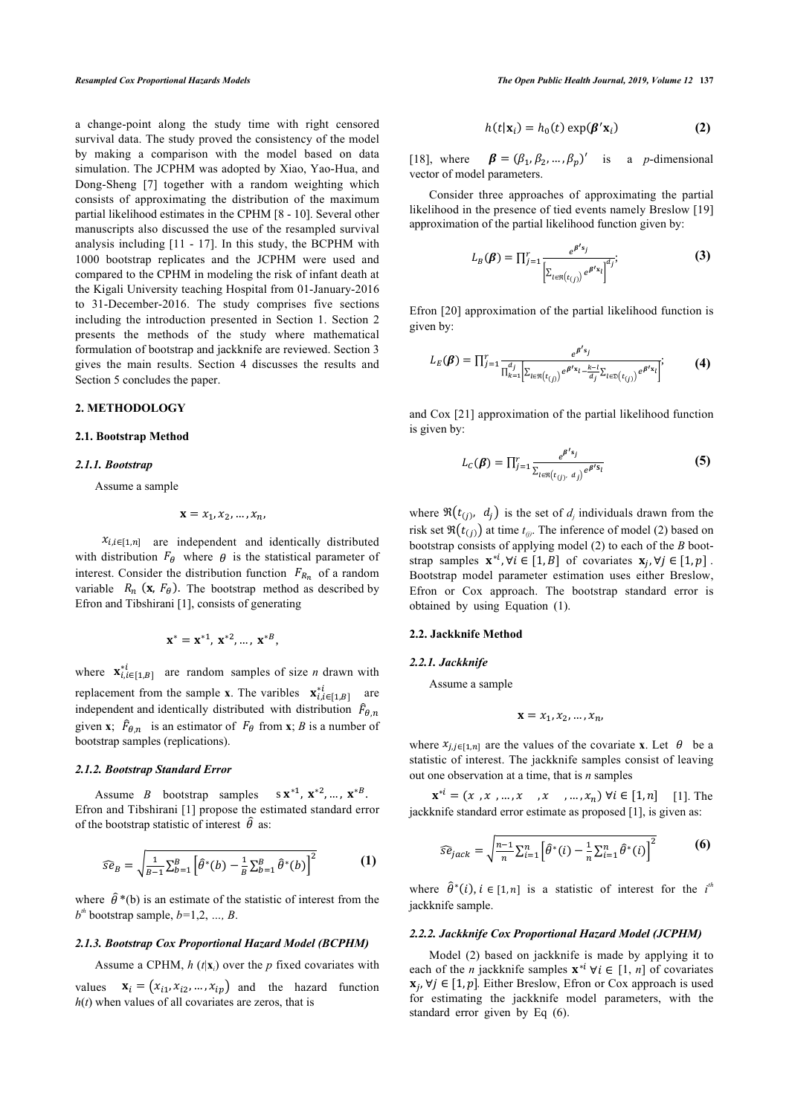a change-point along the study time with right censored survival data. The study proved the consistency of the model by making a comparison with the model based on data simulation. The JCPHM was adopted by Xiao, Yao-Hua, and Dong-Sheng [\[7\]](#page-7-6) together with a random weighting which consists of approximating the distribution of the maximum partial likelihood estimates in the CPHM [[8](#page-7-7) - [10\]](#page-7-8). Several other manuscripts also discussed the use of the resampled survival analysis including [[11](#page-8-0) - [17\]](#page-8-1). In this study, the BCPHM with 1000 bootstrap replicates and the JCPHM were used and compared to the CPHM in modeling the risk of infant death at the Kigali University teaching Hospital from 01-January-2016 to 31-December-2016. The study comprises five sections including the introduction presented in Section 1. Section 2 presents the methods of the study where mathematical formulation of bootstrap and jackknife are reviewed. Section 3 gives the main results. Section 4 discusses the results and Section 5 concludes the paper.

#### **2. METHODOLOGY**

#### **2.1. Bootstrap Method**

#### *2.1.1. Bootstrap*

Assume a sample

$$
\mathbf{x}=x_1,x_2,\ldots,x_n,
$$

 $x_{i,i\in[1,n]}$  are independent and identically distributed with distribution  $F_{\theta}$  where  $\theta$  is the statistical parameter of interest. Consider the distribution function  $F_{R_n}$  of a random variable  $R_n$  (**x**,  $F_\theta$ ). The bootstrap method as described by Efron and Tibshirani [[1](#page-7-0)], consists of generating

$$
\mathbf{x}^* = \mathbf{x}^{*1}, \mathbf{x}^{*2}, \dots, \mathbf{x}^{*B},
$$

where  $\mathbf{x}_{i,i\in[1,B]}^{*i}$  are random samples of size *n* drawn with replacement from the sample **x**. The varibles  $\mathbf{x}_{i,i\in[1,B]}^{*i}$  are independent and identically distributed with distribution  $\hat{F}_{\theta,n}$ given **x**;  $\hat{F}_{\theta,n}$  is an estimator of  $F_{\theta}$  from **x**; *B* is a number of bootstrap samples (replications).

#### *2.1.2. Bootstrap Standard Error*

Assume *B* bootstrap samples  $s \mathbf{x}^{*1}, \mathbf{x}^{*2}, \dots, \mathbf{x}^{*B}$ . Efron and Tibshirani [\[1\]](#page-7-0) propose the estimated standard error of the bootstrap statistic of interest  $\hat{\theta}$  as:

$$
\widehat{se}_B = \sqrt{\frac{1}{B-1} \sum_{b=1}^B \left[\widehat{\theta}^*(b) - \frac{1}{B} \sum_{b=1}^B \widehat{\theta}^*(b)\right]^2}
$$
 (1)

where  $\hat{\theta}^*(b)$  is an estimate of the statistic of interest from the  $b^{th}$  bootstrap sample,  $b=1,2, ..., B$ .

#### *2.1.3. Bootstrap Cox Proportional Hazard Model (BCPHM)*

Assume a CPHM,  $h(t|\mathbf{x}_i)$  over the  $p$  fixed covariates with

values  $\mathbf{x}_i = (x_{i1}, x_{i2}, ..., x_{ip})$  and the hazard function  $h(t)$  when values of all covariates are zeros, that is

*Resampled Cox Proportional Hazards Models The Open Public Health Journal, 2019, Volume 12* **137**

$$
h(t|\mathbf{x}_i) = h_0(t) \exp(\boldsymbol{\beta}' \mathbf{x}_i)
$$
 (2)

[[18](#page-8-2)], where  $\boldsymbol{\beta} = (\beta_1, \beta_2, ..., \beta_p)'$  is a *p*-dimensional vector of model parameters.

Consider three approaches of approximating the partial likelihood in the presence of tied events namely Breslow [\[19\]](#page-8-3) approximation of the partial likelihood function given by:

$$
L_B(\beta) = \prod_{j=1}^r \frac{e^{\beta' s_j}}{\left[\sum_{l \in \mathfrak{R}(t_{(j)})} e^{\beta' s_l}\right]^{d_j}}.
$$
 (3)

Efron [[20](#page-8-4)] approximation of the partial likelihood function is given by:

$$
L_E(\beta) = \prod_{j=1}^r \frac{e^{\beta's_j}}{\prod_{k=1}^{d_j} \left[ \sum_{t \in \Re(t_{(j)})} e^{\beta's_1} - \frac{k-l}{d_j} \sum_{t \in \Im(t_{(j)})} e^{\beta's_1} \right]}. \tag{4}
$$

and Cox [[21](#page-8-5)] approximation of the partial likelihood function is given by:

$$
L_C(\boldsymbol{\beta}) = \prod_{j=1}^r \frac{e^{\boldsymbol{\beta}' s_j}}{\sum_{l \in \Re(t_{(j)}, d_j)} e^{\boldsymbol{\beta}' s_l}}
$$
(5)

where  $\Re(t_{(j)}, d_j)$  is the set of  $d_j$  individuals drawn from the risk set  $\Re(t_{(j)})$  at time  $t_{(j)}$ . The inference of model (2) based on bootstrap consists of applying model (2) to each of the *B* bootstrap samples  $\mathbf{x}^{*i}$ ,  $\forall i \in [1, B]$  of covariates  $\mathbf{x}_j$ ,  $\forall j \in [1, p]$ . Bootstrap model parameter estimation uses either Breslow, Efron or Cox approach. The bootstrap standard error is obtained by using Equation (1).

#### **2.2. Jackknife Method**

# *2.2.1. Jackknife*

Assume a sample

$$
\mathbf{x}=x_1,x_2,\ldots,x_n,
$$

where  $x_{j,j\in[1,n]}$  are the values of the covariate **x**. Let  $\theta$  be a statistic of interest. The jackknife samples consist of leaving out one observation at a time, that is *n* samples

 $\mathbf{x}^{*i} = (x_1, x_2, ..., x_n, x_n, x_n)$   $\forall i \in [1, n]$  [[1\]](#page-7-0). The jackknife standard error estimate as proposed [\[1\]](#page-7-0), is given as:

$$
\widehat{se}_{jack} = \sqrt{\frac{n-1}{n} \sum_{i=1}^{n} \left[ \widehat{\theta}^*(i) - \frac{1}{n} \sum_{i=1}^{n} \widehat{\theta}^*(i) \right]^2}
$$
(6)

where  $\hat{\theta}^*(i)$ ,  $i \in [1, n]$  is a statistic of interest for the *i*<sup>*th*</sup> jackknife sample.

#### *2.2.2. Jackknife Cox Proportional Hazard Model (JCPHM)*

Model (2) based on jackknife is made by applying it to each of the *n* jackknife samples  $\mathbf{x}^{*i}$   $\forall i \in [1, n]$  of covariates  $\mathbf{x}_j$ , ∀ $j \in [1, p]$ . Either Breslow, Efron or Cox approach is used for estimating the jackknife model parameters, with the standard error given by Eq (6).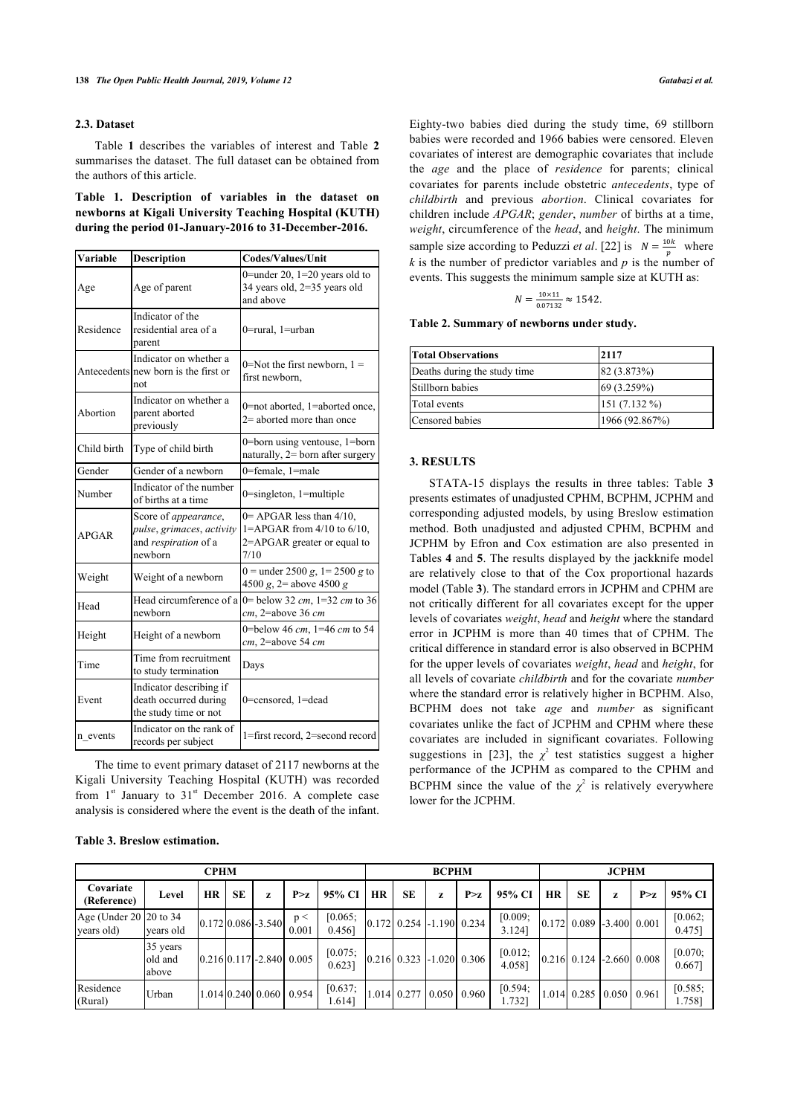# **2.3. Dataset**

<span id="page-2-1"></span>Table**1** describes the variables of interest and Table**2** summarises the dataset. The full dataset can be obtained from the authors of this article.

<span id="page-2-0"></span>**Table 1. Description of variables in the dataset on newborns at Kigali University Teaching Hospital (KUTH) during the period 01-January-2016 to 31-December-2016.**

| <b>Variable</b> | <b>Description</b>                                                                   | <b>Codes/Values/Unit</b>                                                                                    |
|-----------------|--------------------------------------------------------------------------------------|-------------------------------------------------------------------------------------------------------------|
| Age             | Age of parent                                                                        | 0=under 20, $1=20$ years old to<br>34 years old, 2=35 years old<br>and above                                |
| Residence       | Indicator of the<br>residential area of a<br>parent                                  | 0=rural, 1=urban                                                                                            |
|                 | Indicator on whether a<br>Antecedents new born is the first or<br>not                | 0=Not the first newborn, $1 =$<br>first newborn,                                                            |
| Abortion        | Indicator on whether a<br>parent aborted<br>previously                               | 0=not aborted, 1=aborted once,<br>$2$ = aborted more than once                                              |
| Child birth     | Type of child birth                                                                  | 0=born using ventouse, 1=born<br>naturally, 2= born after surgery                                           |
| Gender          | Gender of a newborn                                                                  | 0=female, 1=male                                                                                            |
| Number          | Indicator of the number<br>of births at a time                                       | $0$ =singleton, 1=multiple                                                                                  |
| <b>APGAR</b>    | Score of appearance,<br>pulse, grimaces, activity<br>and respiration of a<br>newborn | $0=$ APGAR less than $4/10$ ,<br>$1 = APGAR$ from $4/10$ to $6/10$ ,<br>2=APGAR greater or equal to<br>7/10 |
| Weight          | Weight of a newborn                                                                  | $0 =$ under 2500 g, 1 = 2500 g to<br>4500 g, $2$ = above 4500 g                                             |
| Head            | Head circumference of a<br>newborn                                                   | 0 = below 32 cm, $1=32$ cm to 36<br>cm, 2=above 36 cm                                                       |
| Height          | Height of a newborn                                                                  | 0=below 46 cm, 1=46 cm to 54<br>cm, 2=above 54 cm                                                           |
| Time            | Time from recruitment<br>to study termination                                        | Days                                                                                                        |
| Event           | Indicator describing if<br>death occurred during<br>the study time or not            | 0=censored, 1=dead                                                                                          |
| n events        | Indicator on the rank of<br>records per subject                                      | 1=first record, 2=second record                                                                             |

The time to event primary dataset of 2117 newborns at the Kigali University Teaching Hospital (KUTH) was recorded from  $1<sup>st</sup>$  January to  $31<sup>st</sup>$  December 2016. A complete case analysis is considered where the event is the death of the infant.

<span id="page-2-2"></span>**Table 3. Breslow estimation.**

Eighty-two babies died during the study time, 69 stillborn babies were recorded and 1966 babies were censored. Eleven covariates of interest are demographic covariates that include the *age* and the place of *residence* for parents; clinical covariates for parents include obstetric *antecedents*, type of *childbirth* and previous *abortion*. Clinical covariates for children include *APGAR*; *gender*, *number* of births at a time, *weight*, circumference of the *head*, and *height*. The minimum sample size according to Peduzzi *et al.* [\[22\]](#page-8-6) is  $N = \frac{10k}{p}$  where  $k$  is the number of predictor variables and  $p$  is the number of events. This suggests the minimum sample size at KUTH as:

$$
N = \frac{10 \times 11}{0.07132} \approx 1542.
$$

**Table 2. Summary of newborns under study.**

| <b>Total Observations</b>    | 2117           |
|------------------------------|----------------|
| Deaths during the study time | 82 (3.873%)    |
| Stillborn babies             | 69 (3.259%)    |
| Total events                 | $151(7.132\%)$ |
| Censored babies              | 1966 (92.867%) |

# **3. RESULTS**

STATA-15 displays the results in three tables: Table**3** presents estimates of unadjusted CPHM, BCPHM, JCPHM and corresponding adjusted models, by using Breslow estimation method. Both unadjusted and adjusted CPHM, BCPHM and JCPHM by Efron and Cox estimation are also presented in Tables **[4](#page-4-0)** and **[5](#page-5-0)**. The results displayed by the jackknife model are relatively close to that of the Cox proportional hazards model (Table **[3](#page-2-2)**). The standard errors in JCPHM and CPHM are not critically different for all covariates except for the upper levels of covariates *weight*, *head* and *height* where the standard error in JCPHM is more than 40 times that of CPHM. The critical difference in standard error is also observed in BCPHM for the upper levels of covariates *weight*, *head* and *height*, for all levels of covariate *childbirth* and for the covariate *number* where the standard error is relatively higher in BCPHM. Also, BCPHM does not take *age* and *number* as significant covariates unlike the fact of JCPHM and CPHM where these covariates are included in significant covariates. Following suggestionsin [[23](#page-8-7)], the  $\chi^2$  test statistics suggest a higher performance of the JCPHM as compared to the CPHM and BCPHM since the value of the  $\chi^2$  is relatively everywhere lower for the JCPHM.

| <b>CPHM</b>                          |                              |           |           |                                 |              |                      | <b>BCPHM</b> |                                       |   |       |                   |           | <b>JCPHM</b>                |                |       |                   |  |  |
|--------------------------------------|------------------------------|-----------|-----------|---------------------------------|--------------|----------------------|--------------|---------------------------------------|---|-------|-------------------|-----------|-----------------------------|----------------|-------|-------------------|--|--|
| Covariate<br>(Reference)             | Level                        | <b>HR</b> | <b>SE</b> | z                               | P > z        | 95% CI               | HR           | <b>SE</b>                             | Z | P > z | 95% CI            | <b>HR</b> | <b>SE</b>                   | Z              | P > z | 95% CI            |  |  |
| Age (Under 20 20 to 34<br>years old) | years old                    |           |           | $[0.172] 0.086$ -3.540          | p <<br>0.001 | [0.065]<br>0.4561    |              | $0.172$ 0.254 -1.190 0.234            |   |       | [0.009;<br>3.124] |           | $0.172 \mid 0.089$          | $-3,400$ 0.001 |       | [0.062]<br>0.475] |  |  |
|                                      | 35 years<br>old and<br>above |           |           | $[0.216]0.117$ -2.840 $[0.005]$ |              | [0.075]<br>$0.623$ ] |              | $[0.216]$ 0.323 -1.020 0.306          |   |       | [0.012]<br>4.058] |           | $0.216$ 0.124 - 2.660 0.008 |                |       | [0.070;<br>0.6671 |  |  |
| Residence<br>(Rural)                 | Urban                        |           |           | $1.014$   0.240   0.060   0.954 |              | [0.637]<br>1.614]    |              | $1.014$ 0.277 $\mid 0.050 \mid 0.960$ |   |       | [0.594]<br>1.7321 |           | 1.014 0.285 0.050 0.961     |                |       | [0.585]<br>1.758] |  |  |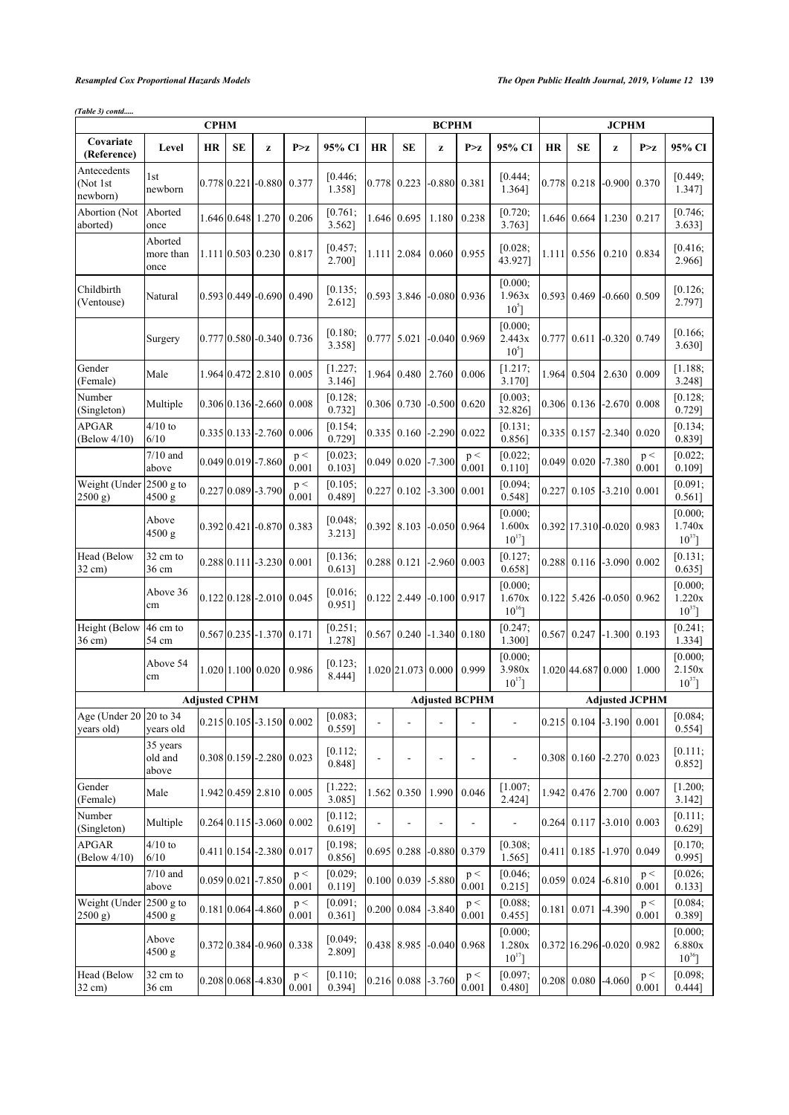*(Table 3) contd.....*

|                                      |                              | <b>CPHM</b>          |    |                                           |                    |                   |                |                            | <b>BCPHM</b>         |                          |                                  |       |                               | <b>JCPHM</b>   |                       |                                  |  |
|--------------------------------------|------------------------------|----------------------|----|-------------------------------------------|--------------------|-------------------|----------------|----------------------------|----------------------|--------------------------|----------------------------------|-------|-------------------------------|----------------|-----------------------|----------------------------------|--|
| Covariate<br>(Reference)             | Level                        | HR                   | SE | z                                         | P > z              | 95% CI            | <b>HR</b>      | SЕ                         | z                    | P > z                    | 95% CI                           | HR    | SЕ                            | z              | P > z                 | 95% CI                           |  |
| Antecedents<br>(Not 1st<br>newborn)  | 1st<br>newborn               |                      |    | $0.778$ 0.221 - 0.880                     | 0.377              | [0.446;<br>1.358] | 0.778          | 0.223                      |                      | -0.880  0.381            | [0.444;<br>1.364]                | 0.778 | 0.218                         |                | $-0.900$ 0.370        | [0.449;<br>1.347]                |  |
| Abortion (Not<br>aborted)            | Aborted<br>once              |                      |    | 1.646 0.648 1.270                         | 0.206              | [0.761;<br>3.562] | 1.646          | 0.695                      | 1.180                | 0.238                    | [0.720;<br>3.763]                |       | 1.646 0.664                   | 1.230          | 0.217                 | [0.746;<br>3.633]                |  |
|                                      | Aborted<br>more than<br>once |                      |    | $1.111$ $0.503$ $0.230$                   | 0.817              | [0.457;<br>2.700] |                | 1.111 2.084                | 0.060                | 0.955                    | [0.028;<br>43.927]               |       | $1.111$ 0.556                 | 0.210          | 0.834                 | [0.416;<br>2.966]                |  |
| Childbirth<br>(Ventouse)             | Natural                      |                      |    | $0.593$ 0.449 - 0.690                     | 0.490              | [0.135;<br>2.612] |                | 0.593 3.846                |                      | -0.080  0.936            | [0.000;<br>1.963x<br>$10^5$ ]    | 0.593 | 0.469                         |                | $-0.660$ 0.509        | [0.126;<br>2.797]                |  |
|                                      | Surgery                      |                      |    | 0.777 0.580 - 0.340 0.736                 |                    | [0.180;<br>3.358] | 0.777          | 5.021                      |                      | $-0.040$ 0.969           | [0.000;<br>2.443x<br>$10^5$ ]    |       | $0.777$ 0.611                 | $-0.320$ 0.749 |                       | [0.166;<br>3.630]                |  |
| Gender<br>(Female)                   | Male                         |                      |    | 1.964 0.472 2.810                         | 0.005              | [1.227;<br>3.146] | 1.964          | 0.480                      | 2.760                | 0.006                    | [1.217;<br>3.170]                |       | 1.964 0.504                   | 2.630          | 0.009                 | [1.188;<br>3.248]                |  |
| Number<br>(Singleton)                | Multiple                     |                      |    | $0.306 \,   0.136 \,   -2.660 \,  $       | 0.008              | [0.128;<br>0.732] |                | $0.306$ 0.730              |                      | $-0.500$ 0.620           | [0.003;<br>32.826]               |       | $0.306$ 0.136                 | $-2.670$ 0.008 |                       | [0.128;<br>0.729]                |  |
| <b>APGAR</b><br>(Below 4/10)         | $4/10$ to<br>6/10            |                      |    | $0.335 \, 0.133 \, 1.2.760$               | 0.006              | [0.154;<br>0.729] | 0.335          |                            | $0.160$ -2.290 0.022 |                          | [0.131;<br>0.856]                |       | 0.335 0.157                   | $-2.340$ 0.020 |                       | [0.134;<br>0.839]                |  |
|                                      | $7/10$ and<br>above          |                      |    | 0.049 0.019 - 7.860                       | p <<br>0.001       | [0.023;<br>0.1031 | 0.049          |                            | $0.020$ -7.300       | p <<br>0.001             | [0.022;<br>$0.110$ ]             |       | 0.049 0.020 -7.380            |                | p <<br>0.001          | [0.022]<br>0.109]                |  |
| Weight (Under<br>(2500 g)            | 2500 g to<br>4500 g          |                      |    | 0.227 0.089 - 3.790                       | p <<br>0.001       | [0.105;<br>0.489] | 0.227          | 0.102                      | $-3.300$             | 0.001                    | [0.094]<br>0.548]                |       | $0.227$ 0.105                 | $-3.210$       | 0.001                 | [0.091;<br>0.561]                |  |
|                                      | Above<br>4500 g              |                      |    | $0.392 \mid 0.421 \mid -0.870 \mid$       | 0.383              | [0.048;<br>3.213] | 0.392          |                            | 8.103 -0.050 0.964   |                          | [0.000;<br>1.600x<br>$10^{17}$   |       | $0.392$  17.310 -0.020  0.983 |                |                       | [0.000;<br>1.740x<br>$10^{37}$ ] |  |
| Head (Below<br>32 cm)                | 32 cm to<br>36 cm            |                      |    | $0.288 \mid 0.111 \mid -3.230 \mid$       | 0.001              | [0.136;<br>0.613] | 0.288          | 0.121                      |                      | $-2.960$ 0.003           | [0.127;<br>0.658]                |       | $0.288$ 0.116 -3.090 0.002    |                |                       | [0.131;<br>$0.635$ ]             |  |
|                                      | Above 36<br>cm               |                      |    | $0.122$ 0.128 - 2.010 0.045               |                    | [0.016;<br>0.951] |                | $0.122$ 2.449              |                      | $-0.100$ 0.917           | [0.000;<br>1.670x<br>$10^{16}$ ] |       | $0.122$ 5.426                 | $-0.050$ 0.962 |                       | [0.000;<br>1.220x<br>$10^{37}$ ] |  |
| Height (Below<br>36 cm)              | 46 cm to<br>54 cm            |                      |    | $0.567$ 0.235 - 1.370 0.171               |                    | [0.251;<br>1.278] | 0.567          |                            | $0.240$ -1.340 0.180 |                          | [0.247;<br>1.300]                |       | $0.567$ 0.247 -1.300 0.193    |                |                       | [0.241;<br>1.334]                |  |
|                                      | Above 54<br>cm               |                      |    | $1.020$ 1.100 0.020                       | 0.986              | [0.123;<br>8.444] |                | 1.020 21.073 0.000         |                      | 0.999                    | [0.000;<br>3.980x<br>$10^{17}$ ] |       | 1.020 44.687 0.000            |                | 1.000                 | [0.000]<br>2.150x<br>$10^{37}$   |  |
|                                      |                              | <b>Adjusted CPHM</b> |    |                                           |                    |                   |                |                            |                      | <b>Adjusted BCPHM</b>    |                                  |       |                               |                | <b>Adjusted JCPHM</b> |                                  |  |
| Age (Under 20 20 to 34<br>vears old) | years old                    |                      |    | $0.215 \,   0.105   -3.150   0.002$       |                    | [0.083;<br>0.559] | $\overline{a}$ |                            | $\overline{a}$       | $\overline{a}$           | $\overline{a}$                   |       | $0.215$ 0.104 -3.190 0.001    |                |                       | [0.084;<br>0.554]                |  |
|                                      | 35 years<br>old and<br>above |                      |    | $0.308 \,   0.159 \,   -2.280 \,   0.023$ |                    | [0.112;<br>0.848] |                |                            | $\overline{a}$       | $\overline{a}$           | $\overline{\phantom{0}}$         |       | $0.308$ 0.160 -2.270 0.023    |                |                       | [0.111;<br>0.852]                |  |
| Gender<br>(Female)                   | Male                         |                      |    | 1.942 0.459 2.810                         | 0.005              | [1.222;<br>3.085] | 1.562          | 0.350                      | 1.990                | 0.046                    | [1.007;<br>2.424]                |       | 1.942 0.476 2.700             |                | 0.007                 | [1.200;<br>3.142]                |  |
| Number<br>(Singleton)                | Multiple                     |                      |    | $0.264$ 0.115 - 3.060                     | 0.002              | [0.112;<br>0.619] |                |                            |                      | $\overline{\phantom{a}}$ | $\blacksquare$                   |       | $0.264$ 0.117 -3.010 0.003    |                |                       | [0.111;<br>0.629]                |  |
| <b>APGAR</b><br>(Below 4/10)         | $4/10$ to<br>6/10            |                      |    | $0.411$ 0.154 - 2.380 0.017               |                    | [0.198;<br>0.856] | 0.695          | 0.288                      | $-0.880$             | 0.379                    | [0.308;<br>1.565]                |       | $0.411$ 0.185 -1.970 0.049    |                |                       | [0.170;<br>$0.995$ ]             |  |
|                                      | $7/10$ and<br>above          |                      |    | $0.059 \mid 0.021 \mid -7.850$            | p <<br>0.001       | [0.029;<br>0.119] |                | $0.100$ 0.039 -5.880       |                      | p <<br>0.001             | [0.046;<br>0.215]                |       | $0.059$ 0.024 -6.810          |                | p <<br>0.001          | [0.026;<br>0.133]                |  |
| Weight (Under 2500 g to<br>(2500 g)  | 4500 g                       |                      |    | 0.181 0.064 -4.860                        | $\rm p <$<br>0.001 | [0.091;<br>0.361] |                | $0.200$ 0.084 -3.840       |                      | p <<br>0.001             | [0.088;<br>$0.455$ ]             |       | 0.181 0.071 -4.390            |                | $\rm p <$<br>0.001    | [0.084]<br>0.389]                |  |
|                                      | Above<br>4500 g              |                      |    | 0.372 0.384 - 0.960 0.338                 |                    | [0.049]<br>2.809] |                | $0.438$ 8.985 -0.040 0.968 |                      |                          | [0.000;<br>1.280x<br>$10^{17}$ ] |       | $0.372$ 16.296 -0.020 0.982   |                |                       | [0.000;<br>6.880x<br>$10^{36}$ ] |  |
| Head (Below<br>$32 \text{ cm}$ )     | 32 cm to<br>36 cm            |                      |    | 0.208 0.068 -4.830                        | p <<br>0.001       | [0.110;<br>0.394] |                | $0.216$ 0.088 -3.760       |                      | p <<br>0.001             | [0.097;<br>0.480]                |       | $0.208$ 0.080 -4.060          |                | p <<br>0.001          | [0.098;<br>0.444]                |  |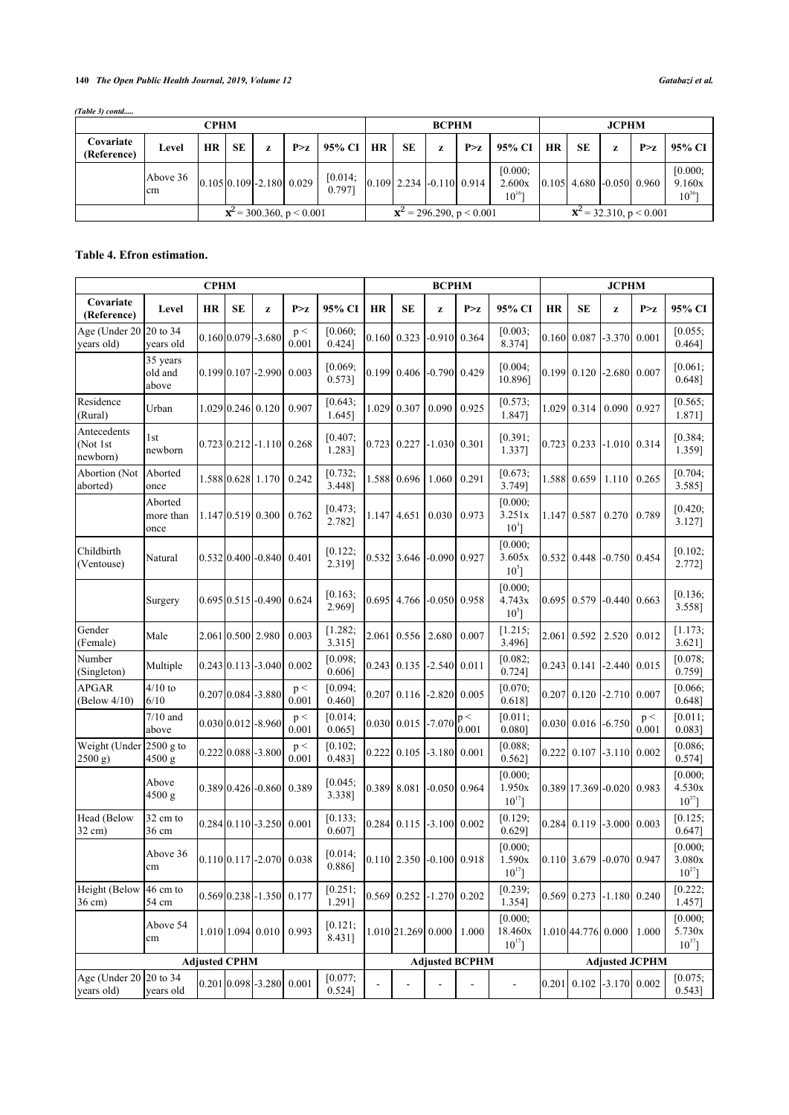# **140** *The Open Public Health Journal, 2019, Volume 12 Gatabazi et al.*

| (Table 3) contd |  |
|-----------------|--|
|-----------------|--|

| <b>CPHM</b>                      |                |           |           |   |                                 |                   |                                   |                                  | <b>BCPHM</b> |       |                                  | <b>JCPHM</b>                    |           |   |                                                |                                  |
|----------------------------------|----------------|-----------|-----------|---|---------------------------------|-------------------|-----------------------------------|----------------------------------|--------------|-------|----------------------------------|---------------------------------|-----------|---|------------------------------------------------|----------------------------------|
| Covariate<br>(Reference)         | Level          | <b>HR</b> | <b>SE</b> | z | P > z                           | $95\%$ CI         | <b>HR</b>                         | <b>SE</b>                        | z            | P > z | 95% CI                           | $\overline{\phantom{a}}$ HR     | <b>SE</b> | z | P > z                                          | 95% CI                           |
|                                  | Above 36<br>cm |           |           |   | $[0.105 \, 0.109]$ -2.180 0.029 | [0.014]<br>0.7971 |                                   | $[0.109]$ 2.234 $[-0.110]$ 0.914 |              |       | [0.000]<br>2.600x<br>$10^{16}$ ] |                                 |           |   | $\vert 0.105 \vert$ 4.680 $\vert$ -0.050 0.960 | [0.000;<br>9.160x<br>$10^{36}$ ] |
| ${\bf x}^2$ = 300.360, p < 0.001 |                |           |           |   |                                 |                   | ${\bf x}^2 = 296.290$ , p < 0.001 |                                  |              |       |                                  | ${\bf x}^2$ = 32.310, p < 0.001 |           |   |                                                |                                  |

# <span id="page-4-0"></span>**Table 4. Efron estimation.**

|                                           |                              | <b>CPHM</b> |    |                                              |              |                      |           |                                  | <b>BCPHM</b><br><b>JCPHM</b> |                       |                                   |           |                            |          |                |                                  |
|-------------------------------------------|------------------------------|-------------|----|----------------------------------------------|--------------|----------------------|-----------|----------------------------------|------------------------------|-----------------------|-----------------------------------|-----------|----------------------------|----------|----------------|----------------------------------|
| Covariate<br>(Reference)                  | Level                        | <b>HR</b>   | SE | z                                            | P > z        | 95% CI               | <b>HR</b> | <b>SE</b>                        | z                            | P > z                 | 95% CI                            | <b>HR</b> | <b>SE</b>                  | z        | P > z          | 95% CI                           |
| Age (Under 20 20 to 34<br>years old)      | vears old                    |             |    | $0.160[0.079]$ -3.680                        | p <<br>0.001 | [0.060;<br>$0.424$ ] |           | $0.160$ 0.323                    | $-0.910$ 0.364               |                       | [0.003;<br>8.374]                 |           | $0.160$ 0.087              | $-3.370$ | 0.001          | [0.055]<br>0.464]                |
|                                           | 35 years<br>old and<br>above |             |    | $0.199$ [0.107] -2.990                       | 0.003        | [0.069;<br>$0.573$ ] |           | 0.199 0.406 -0.790 0.429         |                              |                       | [0.004]<br>10.896]                |           | 0.199 0.120                | $-2.680$ | 0.007          | [0.061]<br>$0.648$ ]             |
| Residence<br>(Rural)                      | Urban                        |             |    | 1.029 0.246 0.120                            | 0.907        | [0.643;<br>1.645]    | 1.029     | 0.307                            | 0.090                        | 0.925                 | [0.573;<br>1.847]                 |           | 1.029 0.314                | 0.090    | 0.927          | [0.565;<br>1.871]                |
| Antecedents<br>(Not 1st<br>newborn)       | 1st<br>newborn               |             |    | $0.723$   0.212   -1.110   0.268             |              | [0.407]<br>1.283]    |           | 0.723 0.227 -1.030 0.301         |                              |                       | [0.391]<br>1.337]                 |           | 0.723 0.233                |          | $-1.010$ 0.314 | [0.384]<br>1.359]                |
| Abortion (Not<br>aborted)                 | Aborted<br>once              |             |    | 1.588 0.628 1.170                            | 0.242        | [0.732]<br>3.448]    |           | 1.588 0.696                      | 1.060                        | 0.291                 | [0.673]<br>3.749]                 |           | 1.588 0.659                | 1.110    | 0.265          | [0.704]<br>3.585]                |
|                                           | Aborted<br>more than<br>once |             |    | 1.147 0.519 0.300                            | 0.762        | [0.473;<br>2.782]    |           | 1.147 4.651                      | 0.030                        | 0.973                 | [0.000;<br>3.251x<br>$10^{3}$ ]   |           | 1.147 0.587                | 0.270    | 0.789          | [0.420;<br>3.127]                |
| Childbirth<br>(Ventouse)                  | Natural                      |             |    | $0.532$ [0.400]-0.840] 0.401                 |              | [0.122]<br>2.319]    |           | $0.532$ 3.646                    | $-0.090$ 0.927               |                       | [0.000]<br>3.605x<br>$10^{5}$ ]   |           | 0.532 0.448                | $-0.750$ | 0.454          | [0.102]<br>2.772]                |
|                                           | Surgery                      |             |    | $0.695[0.515] - 0.490$                       | 0.624        | [0.163;<br>2.969]    |           | 0.695 4.766 -0.050 0.958         |                              |                       | [0.000;<br>4.743x<br>$10^5$ ]     |           | 0.695 0.579                | $-0.440$ | 0.663          | [0.136;<br>3.558]                |
| Gender<br>(Female)                        | Male                         |             |    | 2.061 0.500 2.980                            | 0.003        | [1.282]<br>3.315]    | 2.061     | 0.556                            | 2.680                        | 0.007                 | [1.215;<br>3.496]                 |           | 2.061 0.592                | 2.520    | 0.012          | [1.173;<br>$3.621$ ]             |
| Number<br>(Singleton)                     | Multiple                     |             |    | $0.243 \mid 0.113 \mid -3.040 \mid$          | 0.002        | [0.098]<br>$0.606$ ] |           | $0.243$ 0.135 -2.540 0.011       |                              |                       | [0.082;<br>0.724]                 |           | $0.243$ 0.141              | $-2.440$ | 0.015          | [0.078]<br>0.759]                |
| <b>APGAR</b><br>(Below 4/10)              | $4/10$ to<br>6/10            |             |    | $0.207 \vert 0.084 \vert -3.880$             | p <<br>0.001 | [0.094;<br>0.460]    | 0.207     |                                  | $0.116$ -2.820 0.005         |                       | [0.070;<br>$0.618$ ]              |           | $0.207$ 0.120              | $-2.710$ | 0.007          | [0.066;<br>$0.648$ ]             |
|                                           | $7/10$ and<br>above          |             |    | $0.030 0.012 $ -8.960                        | p <<br>0.001 | [0.014;<br>$0.065$ ] |           | 0.030 0.015 -7.070               |                              | p <<br>0.001          | [0.011]<br>0.080]                 |           | 0.030   0.016              | $-6.750$ | p <<br>0.001   | $[0.011]$ ;<br>$0.083$ ]         |
| Weight (Under 2500 g to<br>(2500 g)       | $4500$ g                     |             |    | $0.222 \mid 0.088 \mid -3.800$               | p <<br>0.001 | [0.102;<br>0.483]    | 0.222     |                                  | $0.105$ -3.180 0.001         |                       | [0.088;<br>$0.562$ ]              |           | $0.222$ 0.107              | $-3.110$ | 0.002          | [0.086;<br>$0.574$ ]             |
|                                           | Above<br>$4500$ g            |             |    | $0.389$ [0.426] -0.860]                      | 0.389        | [0.045;<br>3.338]    | 0.389     | 8.081                            |                              | $-0.050$ 0.964        | [0.000]<br>1.950x<br>$10^{17}$ ]  |           | 0.389 17.369 - 0.020       |          | 0.983          | [0.000;<br>4.530x<br>$10^{37}$ ] |
| Head (Below<br>$32 \text{ cm}$ )          | 32 cm to<br>36 cm            |             |    | $0.284$ [0.110] -3.250                       | 0.001        | [0.133;<br>$0.607$ ] |           | $0.284$ 0.115 -3.100 0.002       |                              |                       | [0.129;<br>$0.629$ ]              |           | 0.284 0.119                | $-3.000$ | 0.003          | [0.125;<br>$0.647$ ]             |
|                                           | Above 36<br>cm               |             |    | $0.110 \big  0.117 \big  -2.070 \big  0.038$ |              | [0.014;<br>$0.886$ ] |           | $[0.110]$ 2.350 $[-0.100]$ 0.918 |                              |                       | [0.000]<br>1.590x<br>$10^{17}$ ]  |           | $0.110$ 3.679 -0.070 0.947 |          |                | [0.000;<br>3.080x<br>$10^{27}$ ] |
| Height (Below 46 cm to<br>$36 \text{ cm}$ | 54 cm                        |             |    | $0.569$ 0.238 - 1.350 0.177                  |              | [0.251;<br>1.291]    |           | $0.569$ 0.252 -1.270 0.202       |                              |                       | [0.239;<br>1.354]                 |           | $0.569$ 0.273 -1.180       |          | 0.240          | [0.222;<br>1.457]                |
|                                           | Above 54<br>cm               |             |    | $1.010$ 1.094 0.010                          | 0.993        | [0.121;<br>8.431]    |           | 1.010 21.269 0.000 1.000         |                              |                       | [0.000;<br>18.460x<br>$10^{17}$ ] |           | 1.010 44.776 0.000         |          | 1.000          | [0.000;<br>5.730x<br>$10^{37}$ ] |
| <b>Adjusted CPHM</b>                      |                              |             |    |                                              |              |                      |           | <b>Adjusted BCPHM</b>            |                              | <b>Adjusted JCPHM</b> |                                   |           |                            |          |                |                                  |
| Age (Under 20 20 to 34<br>years old)      | years old                    |             |    | $0.201$ 0.098 - 3.280 0.001                  |              | [0.077;<br>0.524]    |           |                                  |                              |                       | $\blacksquare$                    |           | $0.201$ 0.102 -3.170 0.002 |          |                | [0.075;<br>0.543]                |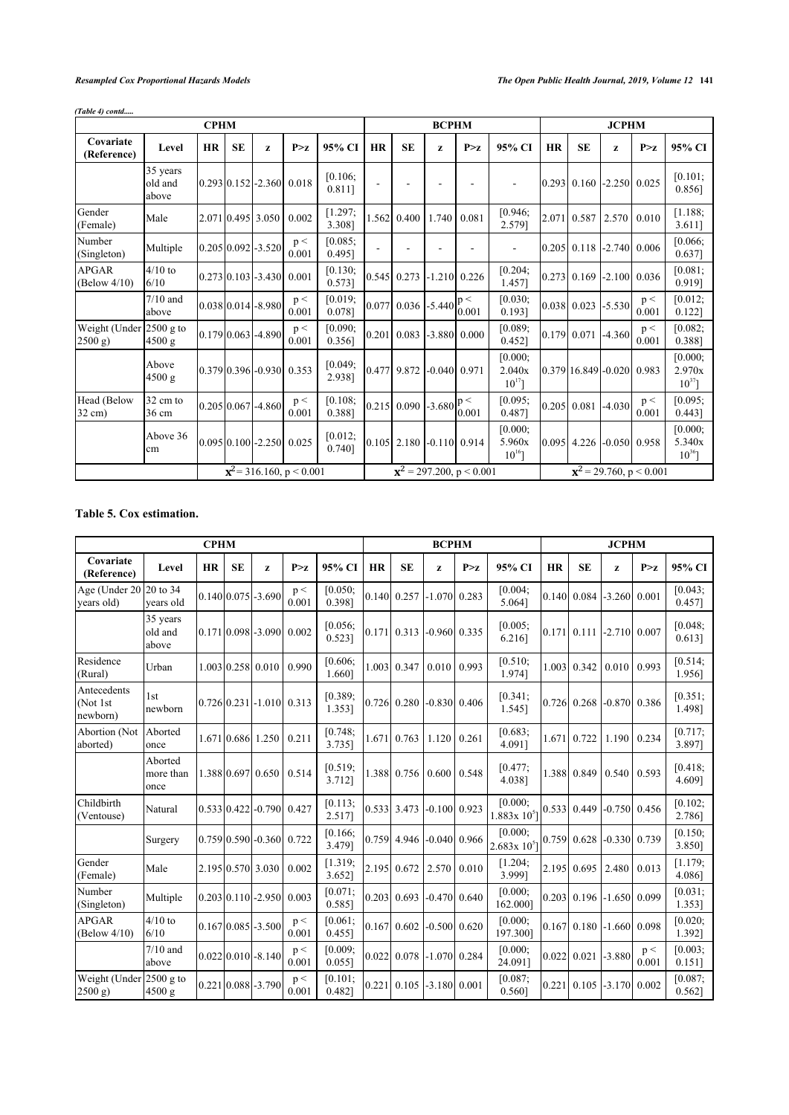| <b>CPHM</b>                       |                              |           |           |                                |              |                                  |           | <b>BCPHM</b>                  |                |                      | <b>JCPHM</b>                     |           |                            |                |                |                                  |
|-----------------------------------|------------------------------|-----------|-----------|--------------------------------|--------------|----------------------------------|-----------|-------------------------------|----------------|----------------------|----------------------------------|-----------|----------------------------|----------------|----------------|----------------------------------|
| Covariate<br>(Reference)          | Level                        | <b>HR</b> | <b>SE</b> | Z                              | P > z        | 95% CI                           | <b>HR</b> | <b>SE</b>                     | Z              | P > z                | 95% CI                           | <b>HR</b> | <b>SE</b>                  | Z              | P > z          | 95% CI                           |
|                                   | 35 years<br>old and<br>above |           |           | $[0.293] 0.152$ - 2.360 0.018  |              | [0.106;<br>$0.811$ ]             |           |                               |                |                      |                                  |           | $0.293$ 0.160 -2.250 0.025 |                |                | [0.101;<br>$0.856$ ]             |
| Gender<br>(Female)                | Male                         |           |           | 2.071 0.495 3.050              | 0.002        | [1.297]<br>3.3081                | 1.562     | 0.400                         | 1.740          | 0.081                | [0.946;<br>2.579]                | 2.071     | 0.587                      | 2.570          | 0.010          | [1.188]<br>3.611]                |
| Number<br>(Singleton)             | Multiple                     |           |           | $0.205 \mid 0.092 \mid -3.520$ | p <<br>0.001 | [0.085]<br>0.495]                |           |                               |                |                      |                                  | 0.205     | 0.118                      | $-2.740$ 0.006 |                | [0.066]<br>$0.637$ ]             |
| <b>APGAR</b><br>(Below 4/10)      | $4/10$ to<br>6/10            |           |           | $[0.273] 0.103$ -3.430         | 0.001        | [0.130;<br>0.573]                | 0.545     | 0.273                         |                | $-1.210$ 0.226       | [0.204]<br>1.457]                | 0.273     | 0.169                      |                | $-2.100$ 0.036 | [0.081]<br>0.919]                |
|                                   | $7/10$ and<br>above          |           |           | $[0.038]0.014$ -8.980          | p <<br>0.001 | [0.019;<br>0.0781                | 0.077     | $0.036$ -5.440 $\binom{p}{q}$ |                | 0.001                | [0.030;<br>0.1931                |           | 0.038 0.023                | $-5.530$       | p <<br>0.001   | [0.012]<br>$0.122$ ]             |
| Weight (Under 2500 g to<br>2500 g | 4500 g                       |           |           | $0.179$ 0.063 - 4.890          | p <<br>0.001 | [0.090;<br>0.356]                | 0.201     |                               |                | $0.083$ -3.880 0.000 | [0.089;<br>0.452]                |           | 0.179 0.071                | $-4.360$       | p <<br>0.001   | [0.082]<br>0.388]                |
|                                   | Above<br>4500 g              |           |           | $0.379$ 0.396 - 0.930 0.353    |              | [0.049]<br>2.938]                |           | $0.477$ 9.872                 | $-0.040$ 0.971 |                      | [0.000;<br>2.040x<br>$10^{17}$ ] |           | 0.379 16.849 - 0.020 0.983 |                |                | [0.000;<br>2.970x<br>$10^{37}$ ] |
| Head (Below<br>$32 \text{ cm}$ )  | 32 cm to<br>36 cm            |           |           | $0.20510.0671 - 4.860$         | p <<br>0.001 | [0.108]<br>0.3881                |           | $0.215$ 0.090 -3.680          |                | p <<br>0.001         | [0.095;<br>0.487]                |           | $0.205$ 0.081              | $-4.030$       | p <<br>0.001   | [0.095]<br>$0.443$ ]             |
|                                   | Above 36<br>cm               |           |           | $0.095$ 0.100 - 2.250 0.025    |              | [0.012]<br>0.7401                |           | $0.105$ 2.180 -0.110 0.914    |                |                      | [0.000;<br>5.960x<br>$10^{16}$ ] | 0.095     | 4.226                      | $-0.050$ 0.958 |                | [0.000;<br>5.340x<br>$10^{36}$ ] |
| ${\bf x}^2$ = 316.160, p < 0.001  |                              |           |           |                                |              | ${\bf x}^2$ = 297.200, p < 0.001 |           |                               |                |                      | ${\bf x}^2$ = 29.760, p < 0.001  |           |                            |                |                |                                  |

# *(Table 4) contd.....*

# <span id="page-5-0"></span>**Table 5. Cox estimation.**

| <b>CPHM</b>                         |                              |           |           |                                  |              |                      |           |                            | <b>BCPHM</b>         |                |                              | <b>JCPHM</b> |                            |                |              |                   |  |
|-------------------------------------|------------------------------|-----------|-----------|----------------------------------|--------------|----------------------|-----------|----------------------------|----------------------|----------------|------------------------------|--------------|----------------------------|----------------|--------------|-------------------|--|
| Covariate<br>(Reference)            | Level                        | <b>HR</b> | <b>SE</b> | z                                | P > z        | 95% CI               | <b>HR</b> | <b>SE</b>                  | z                    | P > z          | 95% CI                       | <b>HR</b>    | <b>SE</b>                  | Z              | P > z        | 95% CI            |  |
| Age (Under 20<br>vears old)         | 20 to 34<br>vears old        |           |           | 0.140 0.075 - 3.690              | p <<br>0.001 | [0.050;<br>0.398]    |           | $0.140$ 0.257              |                      | $-1.070$ 0.283 | [0.004]<br>5.064]            |              | $0.140 \mid 0.084$         | $-3.260$       | 0.001        | [0.043]<br>0.457] |  |
|                                     | 35 years<br>old and<br>above |           |           | $0.171$ $0.098$ $-3.090$         | 0.002        | [0.056;<br>0.523]    |           | $0.171$ 0.313 -0.960 0.335 |                      |                | [0.005]<br>6.216]            |              | $0.171 \ 0.111$            | $-2.710$ 0.007 |              | [0.048]<br>0.6131 |  |
| Residence<br>(Rural)                | Urban                        |           |           | 1.003 0.258 0.010                | 0.990        | [0.606;<br>1.660]    |           | 1.003 0.347                | $0.010$ 0.993        |                | [0.510;<br>1.9741            |              | 1.003 0.342                | 0.010          | 0.993        | [0.514]<br>1.956] |  |
| Antecedents<br>(Not 1st<br>newborn) | l st<br>newborn              |           |           | $[0.726]0.231]$ -1.010 $[0.313]$ |              | [0.389;<br>1.353]    |           | 0.726 0.280                |                      | $-0.830$ 0.406 | $[0.341]$ ;<br>1.545]        |              | 0.726 0.268                | $-0.870$ 0.386 |              | [0.351]<br>1.4981 |  |
| Abortion (Not<br>aborted)           | Aborted<br>once              |           |           | 1.671 0.686 1.250                | 0.211        | [0.748;<br>3.7351    | 1.671     | 0.763                      | 1.120                | 0.261          | [0.683]<br>4.0911            | 1.671        | 0.722                      | 1.190          | 0.234        | [0.717]<br>3.8971 |  |
|                                     | Aborted<br>more than<br>once |           |           | 1.388 0.697 0.650                | 0.514        | [0.519;<br>3.712]    |           | 1.388 0.756 0.600          |                      | 0.548          | [0.477]<br>4.038]            |              | 1.388 0.849                | 0.540          | 0.593        | [0.418;<br>4.609] |  |
| Childbirth<br>(Ventouse)            | Natural                      |           |           | $0.533$ 0.422 -0.790             | 0.427        | [0.113;<br>2.517]    |           | 0.533 3.473                |                      | $-0.100$ 0.923 | [0.000;<br>$1.883x 10^{5}$   |              | 0.533 0.449                | $-0.750$ 0.456 |              | [0.102;<br>2.786] |  |
|                                     | Surgery                      |           |           | 10.75910.5901-0.3601             | 0.722        | [0.166;<br>3.479]    |           | 0.759 4.946 -0.040 0.966   |                      |                | [0.000]<br>$2.683x 10^{5}$ ] |              | 0.759 0.628                | $-0.330$ 0.739 |              | [0.150;<br>3.850] |  |
| Gender<br>(Female)                  | Male                         |           |           | 2.195 0.570 3.030                | 0.002        | [1.319;<br>3.652]    |           | 2.195 0.672                | $2.570$ 0.010        |                | [1.204]<br>3.999]            |              | 2.195 0.695                | 2.480          | 0.013        | [1.179;<br>4.0861 |  |
| Number<br>(Singleton)               | Multiple                     |           |           | $[0.203] 0.110$ - 2.950          | 0.003        | [0.071;<br>$0.585$ ] |           | 0.203 0.693                |                      | $-0.470$ 0.640 | [0.000;<br>162.000]          | 0.203        | 0.196                      | $-1.650$       | 0.099        | [0.031;<br>1.353] |  |
| <b>APGAR</b><br>(Below 4/10)        | $4/10$ to<br>6/10            |           |           | 0.167 0.085 - 3.500              | p <<br>0.001 | [0.061]<br>$0.455$ ] |           | $0.167$ 0.602              |                      | $-0.500$ 0.620 | [0.000;<br>197.3001          |              | $0.167$ 0.180 -1.660 0.098 |                |              | [0.020;<br>1.392] |  |
|                                     | $7/10$ and<br>above          |           |           | $0.02210.010$ -8.140             | p <<br>0.001 | [0.009;<br>$0.055$ ] | 0.022     |                            | $0.078$ -1.070 0.284 |                | [0.000;<br>24.0911           |              | $0.022$ 0.021              | $-3.880$       | p <<br>0.001 | [0.003]<br>0.1511 |  |
| Weight (Under<br>(2500 g)           | $2500$ g to<br>4500 g        |           |           | $0.221 \, 0.088 \, -3.790$       | p <<br>0.001 | [0.101;<br>0.482]    | 0.221     | 0.105                      | $-3.180$ 0.001       |                | [0.087;<br>0.560]            | 0.221        | 0.105                      | $-3.170$       | 0.002        | [0.087]<br>0.562] |  |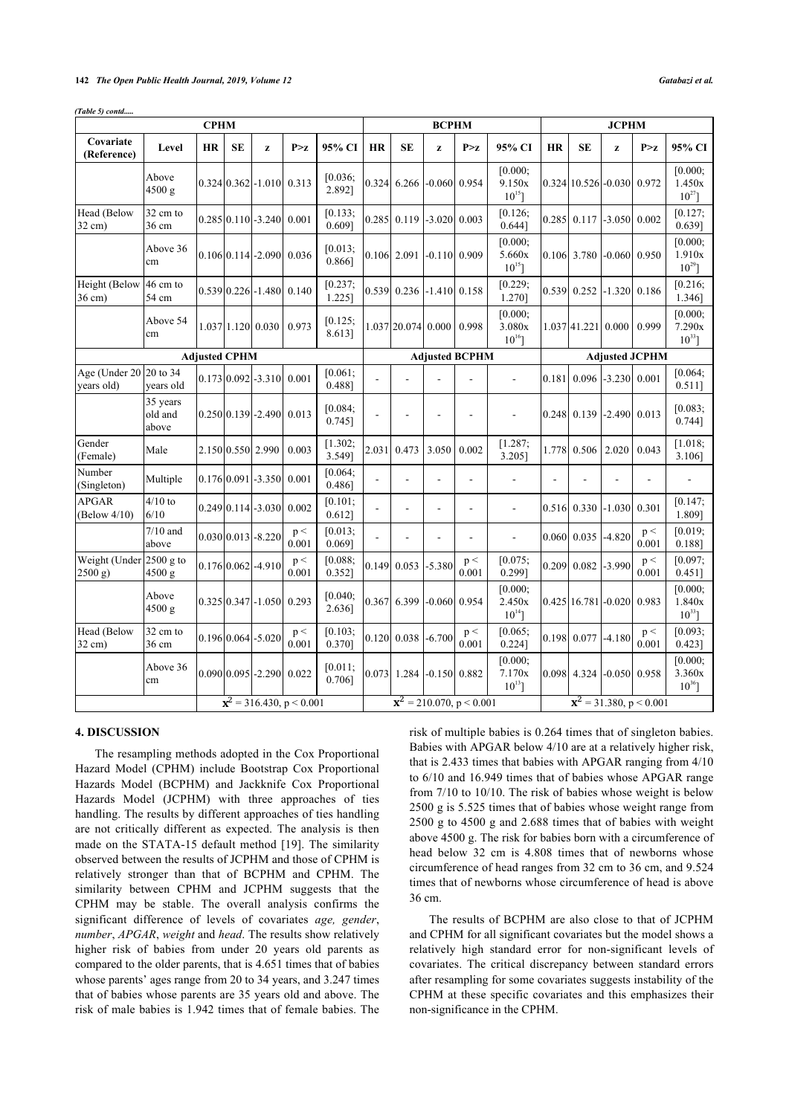*(Table 5) contd.....*

|                                            |                              | <b>CPHM</b>          |           |                                     |                                  |                       |                                  |                                | <b>BCPHM</b>   |                       |                                  |           | <b>JCPHM</b>                                  |                |                       |                                  |  |  |
|--------------------------------------------|------------------------------|----------------------|-----------|-------------------------------------|----------------------------------|-----------------------|----------------------------------|--------------------------------|----------------|-----------------------|----------------------------------|-----------|-----------------------------------------------|----------------|-----------------------|----------------------------------|--|--|
| Covariate<br>(Reference)                   | Level                        | HR                   | <b>SE</b> | z                                   | P > z                            | 95% CI                | <b>HR</b>                        | <b>SE</b>                      | z              | P > z                 | 95% CI                           | <b>HR</b> | <b>SE</b>                                     | z              | P > z                 | 95% CI                           |  |  |
|                                            | Above<br>4500 g              |                      |           | $0.324$ $0.362$ $-1.010$ $0.313$    |                                  | [0.036;<br>2.892]     |                                  | 0.324 6.266                    | $-0.060$ 0.954 |                       | [0.000;<br>9.150x<br>$10^{15}$ ] |           | 0.324 10.526 -0.030 0.972                     |                |                       | [0.000]<br>1.450x<br>$10^{27}$   |  |  |
| Head (Below<br>$32 \text{ cm}$ )           | 32 cm to<br>36 cm            |                      |           | $0.285 \mid 0.110 \mid -3.240 \mid$ | 0.001                            | [0.133]<br>$0.609$ ]  | 0.285                            | 0.119                          | $-3.020$ 0.003 |                       | [0.126;<br>0.644]                | 0.285     | 0.117                                         | $-3.050$ 0.002 |                       | [0.127;<br>$0.639$ ]             |  |  |
|                                            | Above 36<br>cm               |                      |           | 0.10610.1141-2.0901 0.036           |                                  | [0.013;<br>0.866]     |                                  | 0.106 2.091                    | $-0.110$ 0.909 |                       | [0.000;<br>5.660x<br>$10^{15}$ ] |           | 0.106 3.780                                   | $-0.060$ 0.950 |                       | [0.000]<br>1.910x<br>$10^{29}$   |  |  |
| Height (Below 46 cm to<br>$36$ cm)         | 54 cm                        |                      |           | $0.539 \mid 0.226 \mid -1.480 \mid$ | 0.140                            | [0.237;<br>$1.225$ ]  |                                  | $0.539$ 0.236 -1.410 0.158     |                |                       | [0.229;<br>1.270]                | 0.539     | 0.252                                         | $-1.320$       | 0.186                 | [0.216;<br>1.346]                |  |  |
|                                            | Above 54<br>cm               |                      |           | 1.037 1.120 0.030                   | 0.973                            | [0.125;<br>8.613]     |                                  | $1.037$  20.074 0.000          |                | 0.998                 | [0.000;<br>3.080x<br>$10^{16}$ ] |           | 1.037 41.221 0.000                            |                | 0.999                 | [0.000;<br>7.290x<br>$10^{33}$   |  |  |
|                                            |                              | <b>Adjusted CPHM</b> |           |                                     |                                  |                       |                                  |                                |                | <b>Adjusted BCPHM</b> |                                  |           |                                               |                | <b>Adjusted JCPHM</b> |                                  |  |  |
| Age (Under $20$   $20$ to 34<br>vears old) | vears old                    |                      |           | 0.173 0.092 - 3.310                 | 0.001                            | [0.061;<br>0.4881     |                                  |                                |                |                       |                                  | 0.181     | 0.096                                         | $-3.230$       | 0.001                 | [0.064;<br>$0.511$ ]             |  |  |
|                                            | 35 years<br>old and<br>above |                      |           | $0.250[0.139]$ -2.490 0.013         |                                  | [0.084;<br>0.745]     | $\overline{a}$                   |                                | $\overline{a}$ | $\overline{a}$        | $\overline{a}$                   |           | 0.248 0.139                                   | $-2.490$ 0.013 |                       | [0.083]<br>0.744]                |  |  |
| Gender<br>(Female)                         | Male                         |                      |           | 2.150 0.550 2.990                   | 0.003                            | [1.302;<br>3.549]     | 2.031                            | 0.473                          | 3.050          | 0.002                 | [1.287;<br>$3.205$ ]             | 1.778     | 0.506                                         | 2.020          | 0.043                 | [1.018;<br>3.106]                |  |  |
| Number<br>(Singleton)                      | Multiple                     |                      |           | $0.176 \mid 0.091 \mid -3.350 \mid$ | 0.001                            | [0.064;<br>$0.486$ ]  |                                  |                                | $\overline{a}$ | ä,                    | $\overline{a}$                   | ä,        |                                               |                | L,                    |                                  |  |  |
| <b>APGAR</b><br>(Below 4/10)               | $4/10$ to<br>6/10            |                      |           | $0.24910.114$ - 3.030               | 0.002                            | $[0.101]$ ;<br>0.612] |                                  | L,                             | $\overline{a}$ | ä,                    | ÷,                               | 0.516     | 0.330                                         | $-1.030$       | 0.301                 | [0.147;<br>1.809]                |  |  |
|                                            | $7/10$ and<br>above          |                      |           | $0.030 \, 0.013 \, -8.220$          | p <<br>0.001                     | [0.013;<br>$0.069$ ]  |                                  |                                | L,             | ÷,                    | L,                               | 0.060     | 0.035                                         | $-4.820$       | p <<br>0.001          | [0.019;<br>0.1881                |  |  |
| Weight (Under $2500$ g to<br>2500 g        | 4500 g                       |                      |           | $0.176 \mid 0.062 \mid -4.910$      | p <<br>0.001                     | [0.088;<br>0.352]     | 0.149                            | 0.053                          | $-5.380$       | $\rm p <$<br>0.001    | [0.075;<br>0.299]                |           | 0.209 0.082                                   | $-3.990$       | p <<br>0.001          | [0.097;<br>$0.451$ ]             |  |  |
|                                            | Above<br>4500 g              |                      |           | $0.325[0.347] - 1.050$              | 0.293                            | [0.040;<br>2.636]     |                                  | 0.367 6.399                    | $-0.060$ 0.954 |                       | [0.000;<br>2.450x<br>$10^{14}$ ] |           | $0.425$ 16.781 - 0.020                        |                | 0.983                 | [0.000;<br>1.840x<br>$10^{33}$ ] |  |  |
| Head (Below<br>32 cm)                      | 32 cm to<br>36 cm            |                      |           | $0.196 \mid 0.064 \mid -5.020$      | p <<br>0.001                     | [0.103;<br>0.370]     |                                  | $0.120 \mid 0.038 \mid -6.700$ |                | p <<br>0.001          | [0.065;<br>$0.224$ ]             |           | $0.198$ 0.077 -4.180                          |                | p <<br>0.001          | [0.093;<br>0.423]                |  |  |
|                                            | Above 36<br>cm               |                      |           | $0.090 \, 0.095$ -2.290 $0.022$     |                                  | [0.011;<br>0.706]     |                                  | $[0.073]$ 1.284 -0.150 0.882   |                |                       | [0.000;<br>7.170x<br>$10^{13}$ ] |           | 0.098 4.324                                   | $-0.050$ 0.958 |                       | [0.000]<br>3.360x<br>$10^{36}$ ] |  |  |
|                                            |                              |                      |           |                                     | ${\bf x}^2$ = 316.430, p < 0.001 |                       | ${\bf x}^2$ = 210.070, p < 0.001 |                                |                |                       |                                  |           | $\overline{\mathbf{x}^2}$ = 31.380, p < 0.001 |                |                       |                                  |  |  |

# **4. DISCUSSION**

The resampling methods adopted in the Cox Proportional Hazard Model (CPHM) include Bootstrap Cox Proportional Hazards Model (BCPHM) and Jackknife Cox Proportional Hazards Model (JCPHM) with three approaches of ties handling. The results by different approaches of ties handling are not critically different as expected. The analysis is then made on the STATA-15 default method [\[19](#page-8-3)]. The similarity observed between the results of JCPHM and those of CPHM is relatively stronger than that of BCPHM and CPHM. The similarity between CPHM and JCPHM suggests that the CPHM may be stable. The overall analysis confirms the significant difference of levels of covariates *age, gender*, *number*, *APGAR*, *weight* and *head*. The results show relatively higher risk of babies from under 20 years old parents as compared to the older parents, that is 4.651 times that of babies whose parents' ages range from 20 to 34 years, and 3.247 times that of babies whose parents are 35 years old and above. The risk of male babies is 1.942 times that of female babies. The risk of multiple babies is 0.264 times that of singleton babies. Babies with APGAR below 4/10 are at a relatively higher risk, that is 2.433 times that babies with APGAR ranging from 4/10 to 6/10 and 16.949 times that of babies whose APGAR range from 7/10 to 10/10. The risk of babies whose weight is below 2500 g is 5.525 times that of babies whose weight range from 2500 g to 4500 g and 2.688 times that of babies with weight above 4500 g. The risk for babies born with a circumference of head below 32 cm is 4.808 times that of newborns whose circumference of head ranges from 32 cm to 36 cm, and 9.524 times that of newborns whose circumference of head is above 36 cm.

The results of BCPHM are also close to that of JCPHM and CPHM for all significant covariates but the model shows a relatively high standard error for non-significant levels of covariates. The critical discrepancy between standard errors after resampling for some covariates suggests instability of the CPHM at these specific covariates and this emphasizes their non-significance in the CPHM.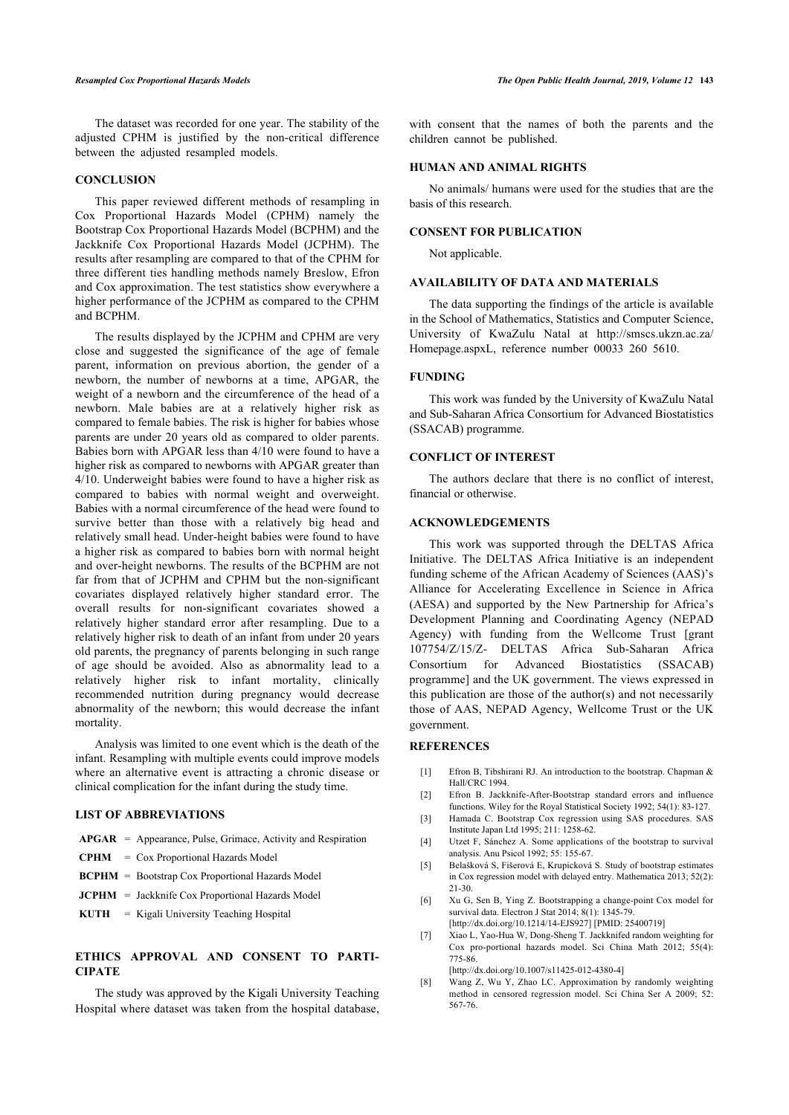The dataset was recorded for one year. The stability of the adjusted CPHM is justified by the non-critical difference between the adjusted resampled models.

#### **CONCLUSION**

This paper reviewed different methods of resampling in Cox Proportional Hazards Model (CPHM) namely the Bootstrap Cox Proportional Hazards Model (BCPHM) and the Jackknife Cox Proportional Hazards Model (JCPHM). The results after resampling are compared to that of the CPHM for three different ties handling methods namely Breslow, Efron and Cox approximation. The test statistics show everywhere a higher performance of the JCPHM as compared to the CPHM and BCPHM.

The results displayed by the JCPHM and CPHM are very close and suggested the significance of the age of female parent, information on previous abortion, the gender of a newborn, the number of newborns at a time, APGAR, the weight of a newborn and the circumference of the head of a newborn. Male babies are at a relatively higher risk as compared to female babies. The risk is higher for babies whose parents are under 20 years old as compared to older parents. Babies born with APGAR less than 4/10 were found to have a higher risk as compared to newborns with APGAR greater than 4/10. Underweight babies were found to have a higher risk as compared to babies with normal weight and overweight. Babies with a normal circumference of the head were found to survive better than those with a relatively big head and relatively small head. Under-height babies were found to have a higher risk as compared to babies born with normal height and over-height newborns. The results of the BCPHM are not far from that of JCPHM and CPHM but the non-significant covariates displayed relatively higher standard error. The overall results for non-significant covariates showed a relatively higher standard error after resampling. Due to a relatively higher risk to death of an infant from under 20 years old parents, the pregnancy of parents belonging in such range of age should be avoided. Also as abnormality lead to a relatively higher risk to infant mortality, clinically recommended nutrition during pregnancy would decrease abnormality of the newborn; this would decrease the infant mortality.

<span id="page-7-2"></span><span id="page-7-1"></span><span id="page-7-0"></span>Analysis was limited to one event which is the death of the infant. Resampling with multiple events could improve models where an alternative event is attracting a chronic disease or clinical complication for the infant during the study time.

# <span id="page-7-4"></span><span id="page-7-3"></span>**LIST OF ABBREVIATIONS**

- **APGAR** = Appearance, Pulse, Grimace, Activity and Respiration
- <span id="page-7-5"></span>**CPHM** = Cox Proportional Hazards Model
- **BCPHM** = Bootstrap Cox Proportional Hazards Model
- <span id="page-7-6"></span>**JCPHM** = Jackknife Cox Proportional Hazards Model
- **KUTH** = Kigali University Teaching Hospital

# <span id="page-7-7"></span>**ETHICS APPROVAL AND CONSENT TO PARTI-CIPATE**

<span id="page-7-8"></span>The study was approved by the Kigali University Teaching Hospital where dataset was taken from the hospital database,

with consent that the names of both the parents and the children cannot be published.

### **HUMAN AND ANIMAL RIGHTS**

No animals/ humans were used for the studies that are the basis of this research.

# **CONSENT FOR PUBLICATION**

Not applicable.

# **AVAILABILITY OF DATA AND MATERIALS**

The data supporting the findings of the article is available in the School of Mathematics, Statistics and Computer Science, University of KwaZulu Natal at http://smscs.ukzn.ac.za/ Homepage.aspxL, reference number 00033 260 5610.

# **FUNDING**

This work was funded by the University of KwaZulu Natal and Sub-Saharan Africa Consortium for Advanced Biostatistics (SSACAB) programme.

# **CONFLICT OF INTEREST**

The authors declare that there is no conflict of interest, financial or otherwise.

### **ACKNOWLEDGEMENTS**

This work was supported through the DELTAS Africa Initiative. The DELTAS Africa Initiative is an independent funding scheme of the African Academy of Sciences (AAS)'s Alliance for Accelerating Excellence in Science in Africa (AESA) and supported by the New Partnership for Africa's Development Planning and Coordinating Agency (NEPAD Agency) with funding from the Wellcome Trust [grant 107754/Z/15/Z- DELTAS Africa Sub-Saharan Africa Consortium for Advanced Biostatistics (SSACAB) programme] and the UK government. The views expressed in this publication are those of the author(s) and not necessarily those of AAS, NEPAD Agency, Wellcome Trust or the UK government.

#### **REFERENCES**

- [1] Efron B, Tibshirani RJ. An introduction to the bootstrap. Chapman & Hall/CRC 1994.
- [2] Efron B. Jackknife-After-Bootstrap standard errors and influence functions. Wiley for the Royal Statistical Society 1992; 54(1): 83-127.
- [3] Hamada C. Bootstrap Cox regression using SAS procedures. SAS Institute Japan Ltd 1995; 211: 1258-62.
- [4] Utzet F, Sánchez A. Some applications of the bootstrap to survival analysis. Anu Psicol 1992; 55: 155-67.
- [5] Belašková S, Fišerová E, Krupicková S. Study of bootstrap estimates in Cox regression model with delayed entry. Mathematica 2013; 52(2): 21-30.
- [6] Xu G, Sen B, Ying Z. Bootstrapping a change-point Cox model for survival data. Electron J Stat 2014; 8(1): 1345-79. [[http://dx.doi.org/10.1214/14-EJS927\]](http://dx.doi.org/10.1214/14-EJS927) [PMID: [25400719\]](http://www.ncbi.nlm.nih.gov/pubmed/25400719)
- [7] Xiao L, Yao-Hua W, Dong-Sheng T. Jackknifed random weighting for Cox pro-portional hazards model. Sci China Math 2012; 55(4): 775-86.

[[http://dx.doi.org/10.1007/s11425-012-4380-4\]](http://dx.doi.org/10.1007/s11425-012-4380-4)

[8] Wang Z, Wu Y, Zhao LC. Approximation by randomly weighting method in censored regression model. Sci China Ser A 2009; 52: 567-76.